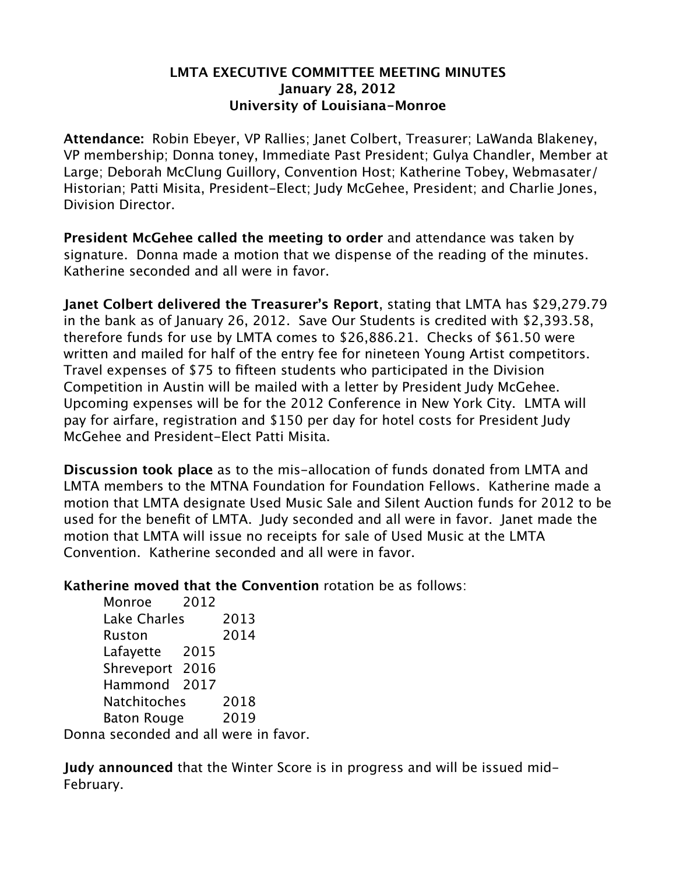## **LMTA EXECUTIVE COMMITTEE MEETING MINUTES January 28, 2012 University of Louisiana-Monroe**

**Attendance:** Robin Ebeyer, VP Rallies; Janet Colbert, Treasurer; LaWanda Blakeney, VP membership; Donna toney, Immediate Past President; Gulya Chandler, Member at Large; Deborah McClung Guillory, Convention Host; Katherine Tobey, Webmasater/ Historian; Patti Misita, President-Elect; Judy McGehee, President; and Charlie Jones, Division Director.

**President McGehee called the meeting to order** and attendance was taken by signature. Donna made a motion that we dispense of the reading of the minutes. Katherine seconded and all were in favor.

**Janet Colbert delivered the Treasurer's Report**, stating that LMTA has \$29,279.79 in the bank as of January 26, 2012. Save Our Students is credited with \$2,393.58, therefore funds for use by LMTA comes to \$26,886.21. Checks of \$61.50 were written and mailed for half of the entry fee for nineteen Young Artist competitors. Travel expenses of \$75 to fifteen students who participated in the Division Competition in Austin will be mailed with a letter by President Judy McGehee. Upcoming expenses will be for the 2012 Conference in New York City. LMTA will pay for airfare, registration and \$150 per day for hotel costs for President Judy McGehee and President-Elect Patti Misita.

**Discussion took place** as to the mis-allocation of funds donated from LMTA and LMTA members to the MTNA Foundation for Foundation Fellows. Katherine made a motion that LMTA designate Used Music Sale and Silent Auction funds for 2012 to be used for the benefit of LMTA. Judy seconded and all were in favor. Janet made the motion that LMTA will issue no receipts for sale of Used Music at the LMTA Convention. Katherine seconded and all were in favor.

**Katherine moved that the Convention** rotation be as follows:

Monroe 2012 Lake Charles 2013 Ruston 2014 Lafayette 2015 Shreveport 2016 Hammond 2017 Natchitoches 2018 Baton Rouge 2019

Donna seconded and all were in favor.

**Judy announced** that the Winter Score is in progress and will be issued mid-February.